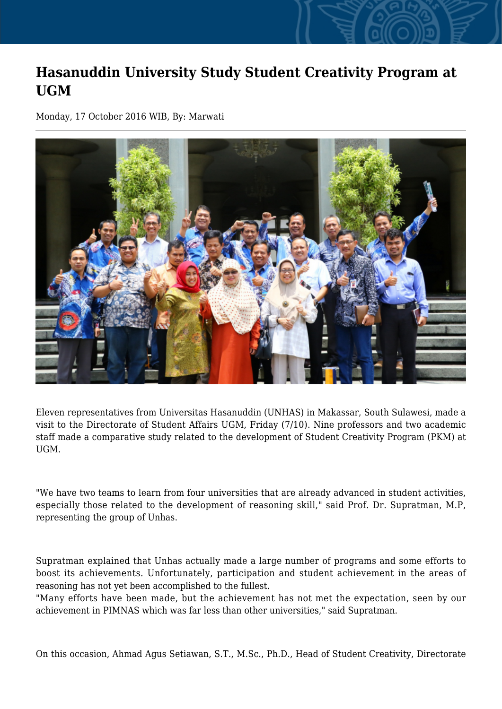## **Hasanuddin University Study Student Creativity Program at UGM**

Monday, 17 October 2016 WIB, By: Marwati



Eleven representatives from Universitas Hasanuddin (UNHAS) in Makassar, South Sulawesi, made a visit to the Directorate of Student Affairs UGM, Friday (7/10). Nine professors and two academic staff made a comparative study related to the development of Student Creativity Program (PKM) at UGM.

"We have two teams to learn from four universities that are already advanced in student activities, especially those related to the development of reasoning skill," said Prof. Dr. Supratman, M.P, representing the group of Unhas.

Supratman explained that Unhas actually made a large number of programs and some efforts to boost its achievements. Unfortunately, participation and student achievement in the areas of reasoning has not yet been accomplished to the fullest.

"Many efforts have been made, but the achievement has not met the expectation, seen by our achievement in PIMNAS which was far less than other universities," said Supratman.

On this occasion, Ahmad Agus Setiawan, S.T., M.Sc., Ph.D., Head of Student Creativity, Directorate